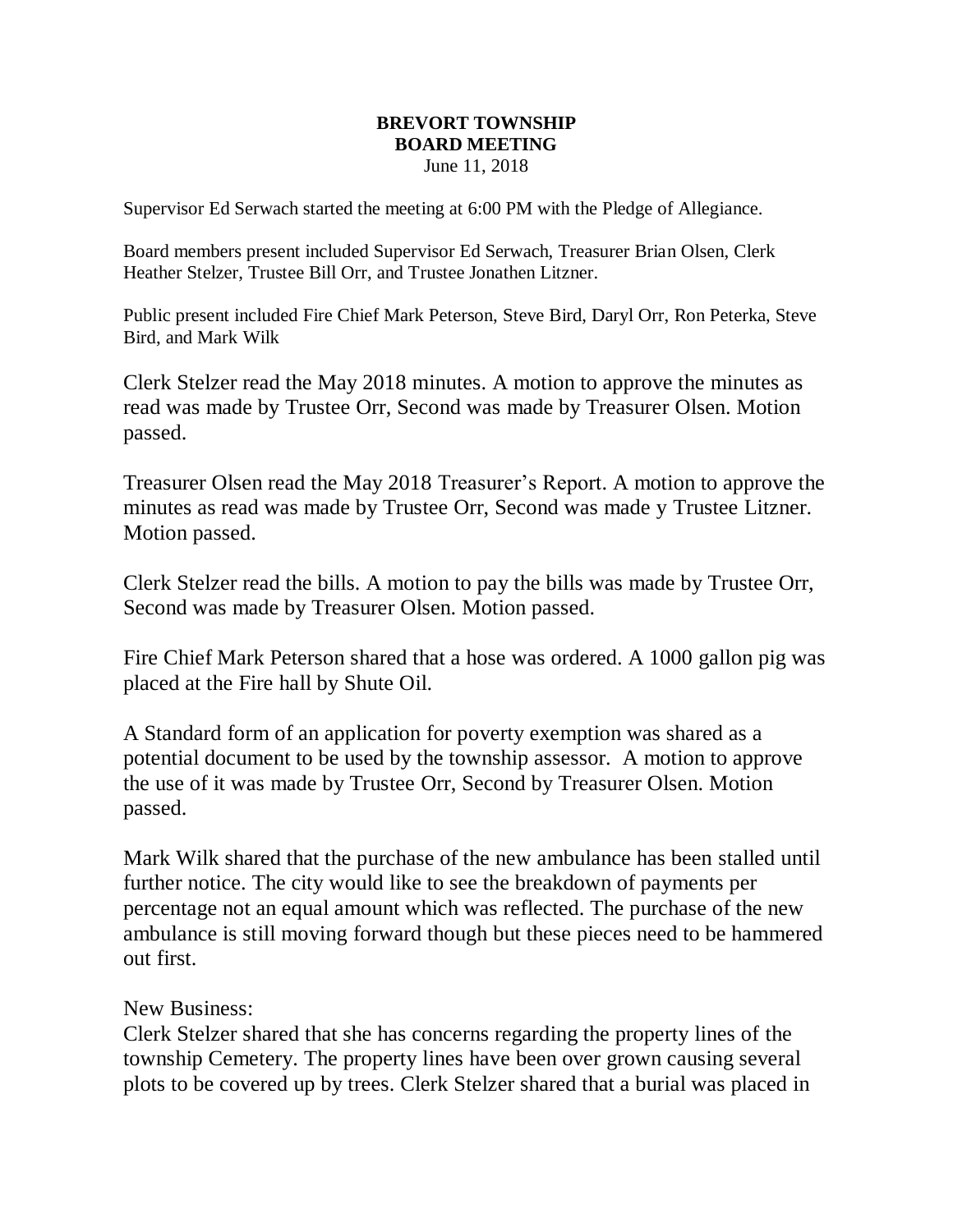## **BREVORT TOWNSHIP BOARD MEETING** June 11, 2018

Supervisor Ed Serwach started the meeting at 6:00 PM with the Pledge of Allegiance.

Board members present included Supervisor Ed Serwach, Treasurer Brian Olsen, Clerk Heather Stelzer, Trustee Bill Orr, and Trustee Jonathen Litzner.

Public present included Fire Chief Mark Peterson, Steve Bird, Daryl Orr, Ron Peterka, Steve Bird, and Mark Wilk

Clerk Stelzer read the May 2018 minutes. A motion to approve the minutes as read was made by Trustee Orr, Second was made by Treasurer Olsen. Motion passed.

Treasurer Olsen read the May 2018 Treasurer's Report. A motion to approve the minutes as read was made by Trustee Orr, Second was made y Trustee Litzner. Motion passed.

Clerk Stelzer read the bills. A motion to pay the bills was made by Trustee Orr, Second was made by Treasurer Olsen. Motion passed.

Fire Chief Mark Peterson shared that a hose was ordered. A 1000 gallon pig was placed at the Fire hall by Shute Oil.

A Standard form of an application for poverty exemption was shared as a potential document to be used by the township assessor. A motion to approve the use of it was made by Trustee Orr, Second by Treasurer Olsen. Motion passed.

Mark Wilk shared that the purchase of the new ambulance has been stalled until further notice. The city would like to see the breakdown of payments per percentage not an equal amount which was reflected. The purchase of the new ambulance is still moving forward though but these pieces need to be hammered out first.

New Business:

Clerk Stelzer shared that she has concerns regarding the property lines of the township Cemetery. The property lines have been over grown causing several plots to be covered up by trees. Clerk Stelzer shared that a burial was placed in